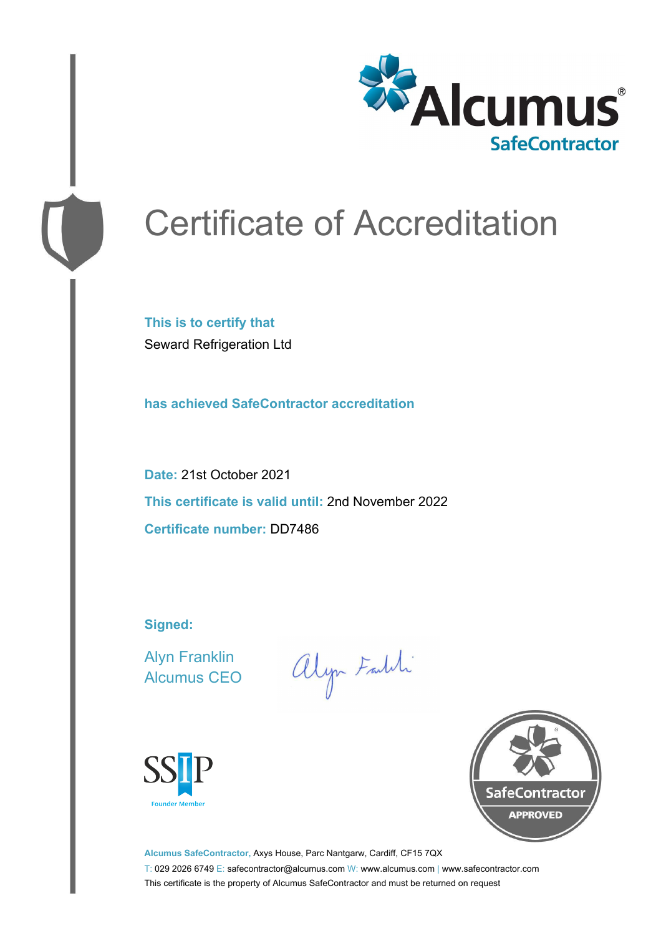

# Certificate of Accreditation

**This is to certify that** Seward Refrigeration Ltd

**has achieved SafeContractor accreditation**

**Date:** 21st October 2021 **This certificate is valid until:** 2nd November 2022 **Certificate number:** DD7486

**Signed:**

Alyn Franklin Alcumus CEO

alyn Faith





**Alcumus SafeContractor,** Axys House, Parc Nantgarw, Cardiff, CF15 7QX T: 029 2026 6749 E: safecontractor@alcumus.com W: www.alcumus.com | www.safecontractor.com This certificate is the property of Alcumus SafeContractor and must be returned on request